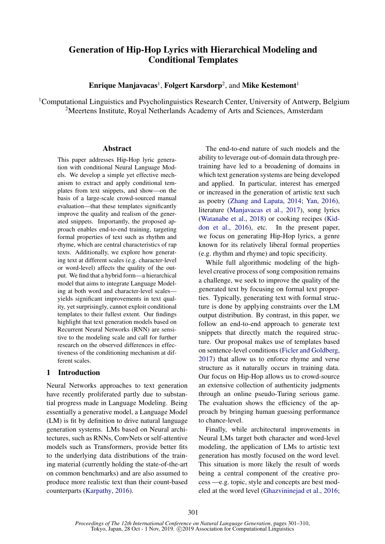# Generation of Hip-Hop Lyrics with Hierarchical Modeling and Conditional Templates

Enrique Manjavacas<sup>1</sup>, Folgert Karsdorp<sup>2</sup>, and Mike Kestemont<sup>1</sup>

<sup>1</sup>Computational Linguistics and Psycholinguistics Research Center, University of Antwerp, Belgium <sup>2</sup>Meertens Institute, Royal Netherlands Academy of Arts and Sciences, Amsterdam

### Abstract

This paper addresses Hip-Hop lyric generation with conditional Neural Language Models. We develop a simple yet effective mechanism to extract and apply conditional templates from text snippets, and show—on the basis of a large-scale crowd-sourced manual evaluation—that these templates significantly improve the quality and realism of the generated snippets. Importantly, the proposed approach enables end-to-end training, targeting formal properties of text such as rhythm and rhyme, which are central characteristics of rap texts. Additionally, we explore how generating text at different scales (e.g. character-level or word-level) affects the quality of the output. We find that a hybrid form—a hierarchical model that aims to integrate Language Modeling at both word and character-level scales yields significant improvements in text quality, yet surprisingly, cannot exploit conditional templates to their fullest extent. Our findings highlight that text generation models based on Recurrent Neural Networks (RNN) are sensitive to the modeling scale and call for further research on the observed differences in effectiveness of the conditioning mechanism at different scales.

# 1 Introduction

Neural Networks approaches to text generation have recently proliferated partly due to substantial progress made in Language Modeling. Being essentially a generative model, a Language Model (LM) is fit by definition to drive natural language generation systems. LMs based on Neural architectures, such as RNNs, ConvNets or self-attentive models such as Transformers, provide better fits to the underlying data distributions of the training material (currently holding the state-of-the-art on common benchmarks) and are also assumed to produce more realistic text than their count-based counterparts [\(Karpathy,](#page-8-0) [2016\)](#page-8-0).

The end-to-end nature of such models and the ability to leverage out-of-domain data through pretraining have led to a broadening of domains in which text generation systems are being developed and applied. In particular, interest has emerged or increased in the generation of artistic text such as poetry [\(Zhang and Lapata,](#page-9-0) [2014;](#page-9-0) [Yan,](#page-9-1) [2016\)](#page-9-1), literature [\(Manjavacas et al.,](#page-9-2) [2017\)](#page-9-2), song lyrics [\(Watanabe et al.,](#page-9-3) [2018\)](#page-9-3) or cooking recipes [\(Kid](#page-8-1)[don et al.,](#page-8-1) [2016\)](#page-8-1), etc. In the present paper, we focus on generating Hip-Hop lyrics, a genre known for its relatively liberal formal properties (e.g. rhythm and rhyme) and topic specificity.

While full algorithmic modeling of the highlevel creative process of song composition remains a challenge, we seek to improve the quality of the generated text by focusing on formal text properties. Typically, generating text with formal structure is done by applying constraints over the LM output distribution. By contrast, in this paper, we follow an end-to-end approach to generate text snippets that directly match the required structure. Our proposal makes use of templates based on sentence-level conditions [\(Ficler and Goldberg,](#page-8-2) [2017\)](#page-8-2) that allow us to enforce rhyme and verse structure as it naturally occurs in training data. Our focus on Hip-Hop allows us to crowd-source an extensive collection of authenticity judgments through an online pseudo-Turing serious game. The evaluation shows the efficiency of the approach by bringing human guessing performance to chance-level.

Finally, while architectural improvements in Neural LMs target both character and word-level modeling, the application of LMs to artistic text generation has mostly focused on the word level. This situation is more likely the result of words being a central component of the creative process —e.g. topic, style and concepts are best modeled at the word level [\(Ghazvininejad et al.,](#page-8-3) [2016;](#page-8-3)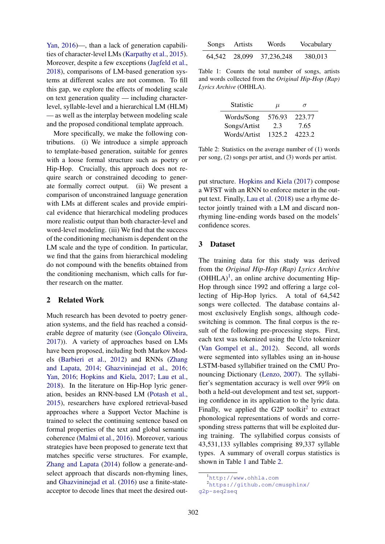[Yan,](#page-9-1) [2016\)](#page-9-1)—, than a lack of generation capabilities of character-level LMs [\(Karpathy et al.,](#page-8-4) [2015\)](#page-8-4). Moreover, despite a few exceptions [\(Jagfeld et al.,](#page-8-5) [2018\)](#page-8-5), comparisons of LM-based generation systems at different scales are not common. To fill this gap, we explore the effects of modeling scale on text generation quality — including characterlevel, syllable-level and a hierarchical LM (HLM) — as well as the interplay between modeling scale and the proposed conditional template approach.

More specifically, we make the following contributions. (i) We introduce a simple approach to template-based generation, suitable for genres with a loose formal structure such as poetry or Hip-Hop. Crucially, this approach does not require search or constrained decoding to generate formally correct output. (ii) We present a comparison of unconstrained language generation with LMs at different scales and provide empirical evidence that hierarchical modeling produces more realistic output than both character-level and word-level modeling. (iii) We find that the success of the conditioning mechanism is dependent on the LM scale and the type of condition. In particular, we find that the gains from hierarchical modeling do not compound with the benefits obtained from the conditioning mechanism, which calls for further research on the matter.

# 2 Related Work

Much research has been devoted to poetry generation systems, and the field has reached a considerable degree of maturity (see (Gonçalo Oliveira, [2017\)](#page-8-6)). A variety of approaches based on LMs have been proposed, including both Markov Models [\(Barbieri et al.,](#page-8-7) [2012\)](#page-8-7) and RNNs [\(Zhang](#page-9-0) [and Lapata,](#page-9-0) [2014;](#page-9-0) [Ghazvininejad et al.,](#page-8-3) [2016;](#page-8-3) [Yan,](#page-9-1) [2016;](#page-9-1) [Hopkins and Kiela,](#page-8-8) [2017;](#page-8-8) [Lau et al.,](#page-8-9) [2018\)](#page-8-9). In the literature on Hip-Hop lyric generation, besides an RNN-based LM [\(Potash et al.,](#page-9-4) [2015\)](#page-9-4), researchers have explored retrieval-based approaches where a Support Vector Machine is trained to select the continuing sentence based on formal properties of the text and global semantic coherence [\(Malmi et al.,](#page-8-10) [2016\)](#page-8-10). Moreover, various strategies have been proposed to generate text that matches specific verse structures. For example, [Zhang and Lapata](#page-9-0) [\(2014\)](#page-9-0) follow a generate-andselect approach that discards non-rhyming lines, and [Ghazvininejad et al.](#page-8-3) [\(2016\)](#page-8-3) use a finite-stateacceptor to decode lines that meet the desired out-

<span id="page-1-2"></span>

| Songs | Artists | Words                    | Vocabulary |
|-------|---------|--------------------------|------------|
|       |         | 64,542 28,099 37,236,248 | 380,013    |

Table 1: Counts the total number of songs, artists and words collected from the *Original Hip-Hop (Rap) Lyrics Archive* (OHHLA).

<span id="page-1-3"></span>

| <b>Statistic</b> | $\mu$  | σ      |
|------------------|--------|--------|
| Words/Song       | 576.93 | 223.77 |
| Songs/Artist     | 2.3    | 7.65   |
| Words/Artist     | 1325.2 | 4223.2 |

Table 2: Statistics on the average number of (1) words per song, (2) songs per artist, and (3) words per artist.

put structure. [Hopkins and Kiela](#page-8-8) [\(2017\)](#page-8-8) compose a WFST with an RNN to enforce meter in the output text. Finally, [Lau et al.](#page-8-9) [\(2018\)](#page-8-9) use a rhyme detector jointly trained with a LM and discard nonrhyming line-ending words based on the models' confidence scores.

### <span id="page-1-4"></span>3 Dataset

The training data for this study was derived from the *Original Hip-Hop (Rap) Lyrics Archive*  $(OHHLA)^1$  $(OHHLA)^1$ , an online archive documenting Hip-Hop through since 1992 and offering a large collecting of Hip-Hop lyrics. A total of 64,542 songs were collected. The database contains almost exclusively English songs, although codeswitching is common. The final corpus is the result of the following pre-processing steps. First, each text was tokenized using the Ucto tokenizer [\(Van Gompel et al.,](#page-9-5) [2012\)](#page-9-5). Second, all words were segmented into syllables using an in-house LSTM-based syllabifier trained on the CMU Pronouncing Dictionary [\(Lenzo,](#page-8-11) [2007\)](#page-8-11). The syllabifier's segmentation accuracy is well over 99% on both a held-out development and test set, supporting confidence in its application to the lyric data. Finally, we applied the G[2](#page-1-1)P toolkit<sup>2</sup> to extract phonological representations of words and corresponding stress patterns that will be exploited during training. The syllabified corpus consists of 43,531,133 syllables comprising 89,337 syllable types. A summary of overall corpus statistics is shown in Table [1](#page-1-2) and Table [2.](#page-1-3)

<span id="page-1-1"></span><span id="page-1-0"></span><sup>1</sup><http://www.ohhla.com>

<sup>2</sup>[https://github.com/cmusphinx/](https://github.com/cmusphinx/g2p-seq2seq) [g2p-seq2seq](https://github.com/cmusphinx/g2p-seq2seq)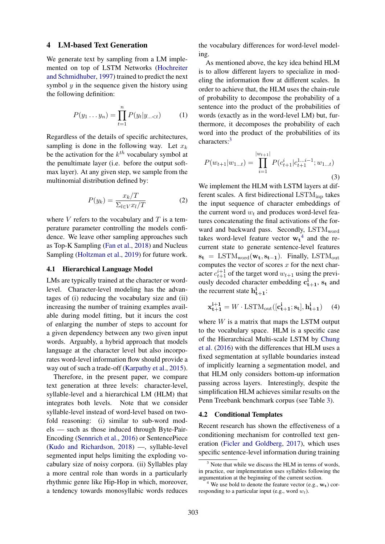#### 4 LM-based Text Generation

We generate text by sampling from a LM implemented on top of LSTM Networks [\(Hochreiter](#page-8-12) [and Schmidhuber,](#page-8-12) [1997\)](#page-8-12) trained to predict the next symbol  $y$  in the sequence given the history using the following definition:

$$
P(y_1 \dots y_n) = \prod_{t=1}^n P(y_t | y_{\dots < t}) \tag{1}
$$

Regardless of the details of specific architectures, sampling is done in the following way. Let  $x_k$ be the activation for the  $k^{th}$  vocabulary symbol at the penultimate layer (i.e. before the output softmax layer). At any given step, we sample from the multinomial distribution defined by:

$$
P(y_k) = \frac{x_k/T}{\Sigma_{l \in V} x_l/T}
$$
 (2)

where  $V$  refers to the vocabulary and  $T$  is a temperature parameter controlling the models confidence. We leave other sampling approaches such as Top-K Sampling [\(Fan et al.,](#page-8-13) [2018\)](#page-8-13) and Nucleus Sampling [\(Holtzman et al.,](#page-8-14) [2019\)](#page-8-14) for future work.

#### 4.1 Hierarchical Language Model

LMs are typically trained at the character or wordlevel. Character-level modeling has the advantages of (i) reducing the vocabulary size and (ii) increasing the number of training examples available during model fitting, but it incurs the cost of enlarging the number of steps to account for a given dependency between any two given input words. Arguably, a hybrid approach that models language at the character level but also incorporates word-level information flow should provide a way out of such a trade-off [\(Karpathy et al.,](#page-8-4) [2015\)](#page-8-4).

Therefore, in the present paper, we compare text generation at three levels: character-level, syllable-level and a hierarchical LM (HLM) that integrates both levels. Note that we consider syllable-level instead of word-level based on twofold reasoning: (i) similar to sub-word models — such as those induced through Byte-Pair-Encoding [\(Sennrich et al.,](#page-9-6) [2016\)](#page-9-6) or SentencePiece [\(Kudo and Richardson,](#page-8-15) [2018\)](#page-8-15) —, syllable-level segmented input helps limiting the exploding vocabulary size of noisy corpora. (ii) Syllables play a more central role than words in a particularly rhythmic genre like Hip-Hop in which, moreover, a tendency towards monosyllabic words reduces the vocabulary differences for word-level modeling.

As mentioned above, the key idea behind HLM is to allow different layers to specialize in modeling the information flow at different scales. In order to achieve that, the HLM uses the chain-rule of probability to decompose the probability of a sentence into the product of the probabilities of words (exactly as in the word-level LM) but, furthermore, it decomposes the probability of each word into the product of the probabilities of its characters:<sup>[3](#page-2-0)</sup>

$$
P(w_{t+1}|w_{1...t}) = \prod_{i=1}^{|w_{t+1}|} P(c_{t+1}^i | c_{t+1}^{1...i-1}; w_{1...t})
$$
\n(3)

We implement the HLM with LSTM layers at different scales. A first bidirectional  $\text{LSTM}_{\text{inp}}$  takes the input sequence of character embeddings of the current word  $w_t$  and produces word-level features concatenating the final activations of the forward and backward pass. Secondly,  $\text{LSTM}_{word}$ takes word-level feature vector  $w_t^4$  $w_t^4$  and the recurrent state to generate sentence-level features  $s_t = LSTM_{word}(w_t, s_{t-1})$ . Finally, LSTM<sub>out</sub> computes the vector of scores  $x$  for the next character  $c_{t+1}^{i+1}$  of the target word  $w_{t+1}$  using the previously decoded character embedding  $c_{t+1}^i$ ,  $s_t$  and the recurrent state  $h_{t+1}^i$ :

$$
\mathbf{x}_{t+1}^{i+1} = W \cdot \text{LSTM}_{\text{out}}([\mathbf{c}_{t+1}^i; \mathbf{s}_t], \mathbf{h}_{t+1}^i) \tag{4}
$$

where  $W$  is a matrix that maps the LSTM output to the vocabulary space. HLM is a specific case of the Hierarchical Multi-scale LSTM by [Chung](#page-8-16) [et al.](#page-8-16) [\(2016\)](#page-8-16) with the differences that HLM uses a fixed segmentation at syllable boundaries instead of implicitly learning a segmentation model, and that HLM only considers bottom-up information passing across layers. Interestingly, despite the simplification HLM achieves similar results on the Penn Treebank benchmark corpus (see Table [3\)](#page-3-0).

### 4.2 Conditional Templates

Recent research has shown the effectiveness of a conditioning mechanism for controlled text generation [\(Ficler and Goldberg,](#page-8-2) [2017\)](#page-8-2), which uses specific sentence-level information during training

<span id="page-2-0"></span> $3$  Note that while we discuss the HLM in terms of words. in practice, our implementation uses syllables following the argumentation at the beginning of the current section.

<span id="page-2-1"></span>We use bold to denote the feature vector (e.g.,  $w_t$ ) corresponding to a particular input (e.g., word  $w_t$ ).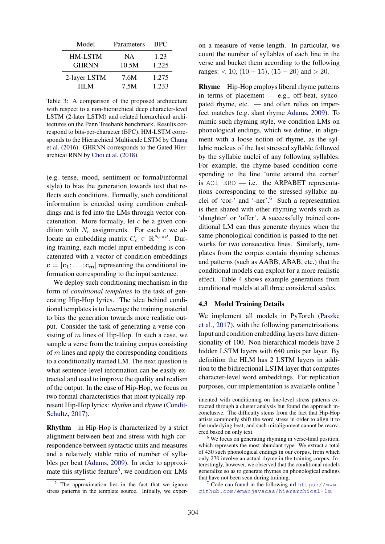<span id="page-3-0"></span>

| Model        | Parameters | <b>BPC</b> |
|--------------|------------|------------|
| HM-LSTM      | <b>NA</b>  | 1.23       |
| <b>GHRNN</b> | 10.5M      | 1.225      |
| 2-layer LSTM | 7.6M       | 1.275      |
| HI M         | 7.5M       | 1.233      |

Table 3: A comparison of the proposed architecture with respect to a non-hierarchical deep character-level LSTM (2-later LSTM) and related hierarchical architectures on the Penn Treebank benchmark. Results correspond to bits-per-character (BPC). HM-LSTM corresponds to the Hierarchical Multiscale LSTM by [Chung](#page-8-16) [et al.](#page-8-16) [\(2016\)](#page-8-16). GHRNN corresponds to the Gated Hierarchical RNN by [Choi et al.](#page-8-17) [\(2018\)](#page-8-17).

(e.g. tense, mood, sentiment or formal/informal style) to bias the generation towards text that reflects such conditions. Formally, such conditional information is encoded using condition embeddings and is fed into the LMs through vector concatenation. More formally, let  $c$  be a given condition with  $N_c$  assignments. For each c we allocate an embedding matrix  $C_c \in \mathbb{R}^{N_c \times d}$ . During training, each model input embedding is concatenated with a vector of condition embeddings  $c = [c_1; \dots; c_m]$  representing the conditional information corresponding to the input sentence.

We deploy such conditioning mechanism in the form of *conditional templates* to the task of generating Hip-Hop lyrics. The idea behind conditional templates is to leverage the training material to bias the generation towards more realistic output. Consider the task of generating a verse consisting of  $m$  lines of Hip-Hop. In such a case, we sample a verse from the training corpus consisting of  $m$  lines and apply the corresponding conditions to a conditionally trained LM. The next question is what sentence-level information can be easily extracted and used to improve the quality and realism of the output. In the case of Hip-Hop, we focus on two formal characteristics that most typically represent Hip-Hop lyrics: *rhythm* and *rhyme* [\(Condit-](#page-8-18)[Schultz,](#page-8-18) [2017\)](#page-8-18).

Rhythm in Hip-Hop is characterized by a strict alignment between beat and stress with high correspondence between syntactic units and measures and a relatively stable ratio of number of syllables per beat [\(Adams,](#page-8-19) [2009\)](#page-8-19). In order to approxi-mate this stylistic feature<sup>[5](#page-3-1)</sup>, we condition our LMs

on a measure of verse length. In particular, we count the number of syllables of each line in the verse and bucket them according to the following ranges:  $< 10$ ,  $(10 - 15)$ ,  $(15 - 20)$  and  $> 20$ .

Rhyme Hip-Hop employs liberal rhyme patterns in terms of placement — e.g., off-beat, syncopated rhyme, etc. — and often relies on imperfect matches (e.g. slant rhyme [Adams,](#page-8-19) [2009\)](#page-8-19). To mimic such rhyming style, we condition LMs on phonological endings, which we define, in alignment with a loose notion of rhyme, as the syllabic nucleus of the last stressed syllable followed by the syllabic nuclei of any following syllables. For example, the rhyme-based condition corresponding to the line 'unite around the corner' is AO1-ERO — i.e. the ARPABET representations corresponding to the stressed syllabic nuclei of 'cor-' and '-ner'.[6](#page-3-2) Such a representation is then shared with other rhyming words such as 'daughter' or 'offer'. A successfully trained conditional LM can thus generate rhymes when the same phonological condition is passed to the networks for two consecutive lines. Similarly, templates from the corpus contain rhyming schemes and patterns (such as AABB, ABAB, etc.) that the conditional models can exploit for a more realistic effect. Table [4](#page-4-0) shows example generations from conditional models at all three considered scales.

#### 4.3 Model Training Details

We implement all models in PyTorch [\(Paszke](#page-9-7) [et al.,](#page-9-7) [2017\)](#page-9-7), with the following parametrizations. Input and condition embedding layers have dimensionality of 100. Non-hierarchical models have 2 hidden LSTM layers with 640 units per layer. By definition the HLM has 2 LSTM layers in addition to the bidirectional LSTM layer that computes character-level word embeddings. For replication purposes, our implementation is available online.<sup>[7](#page-3-3)</sup>

<span id="page-3-1"></span><sup>&</sup>lt;sup>5</sup> The approximation lies in the fact that we ignore stress patterns in the template source. Initially, we exper-

imented with conditioning on line-level stress patterns extracted through a cluster analysis but found the approach inconclusive. The difficulty stems from the fact that Hip-Hop artists commonly shift the word stress in order to align it to the underlying beat, and such misalignment cannot be recovered based on only text.

<span id="page-3-2"></span><sup>&</sup>lt;sup>6</sup> We focus on generating rhyming in verse-final position, which represents the most abundant type. We extract a total of 430 such phonological endings in our corpus, from which only 270 involve an actual rhyme in the training corpus. Interestingly, however, we observed that the conditional models generalize so as to generate rhymes on phonological endings that have not been seen during training.

<span id="page-3-3"></span> $7 \text{ Code can found in the following url `https://www.`$  $7 \text{ Code can found in the following url `https://www.`$ [github.com/emanjavacas/hierarchical-lm](https://www.github.com/emanjavacas/hierarchical-lm).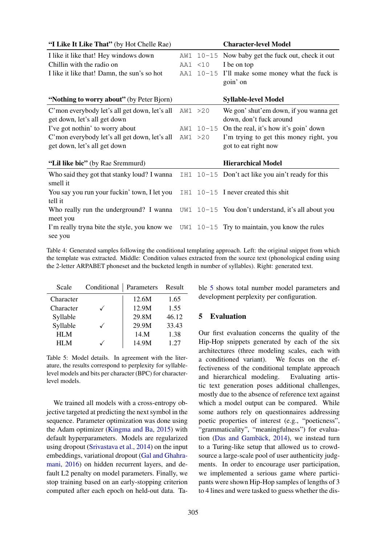<span id="page-4-0"></span>

| "I Like It Like That" (by Hot Chelle Rae)     |          | <b>Character-level Model</b>                        |
|-----------------------------------------------|----------|-----------------------------------------------------|
| I like it like that! Hey windows down         | AW1      | $10-15$ Now baby get the fuck out, check it out     |
| Chillin with the radio on                     | AA1 <10  | I be on top                                         |
| I like it like that! Damn, the sun's so hot   | AA1      | $10-15$ I'll make some money what the fuck is       |
|                                               |          | goin' on                                            |
|                                               |          |                                                     |
| "Nothing to worry about" (by Peter Bjorn)     |          | <b>Syllable-level Model</b>                         |
| C'mon everybody let's all get down, let's all | AW1 > 20 | We gon' shut'em down, if you wanna get              |
| get down, let's all get down                  |          | down, don't fuck around                             |
| I've got nothin' to worry about               |          | AW1 $10-15$ On the real, it's how it's goin' down   |
| C'mon everybody let's all get down, let's all | AW1 > 20 | I'm trying to get this money right, you             |
| get down, let's all get down                  |          | got to eat right now                                |
|                                               |          |                                                     |
| "Lil like bic" (by Rae Sremmurd)              |          | <b>Hierarchical Model</b>                           |
| Who said they got that stanky loud? I wanna   |          | IH1 $10-15$ Don't act like you ain't ready for this |
| smell it                                      |          |                                                     |
| You say you run your fuckin' town, I let you  | IH1      | $10-15$ I never created this shit                   |
| tell it                                       |          |                                                     |
| Who really run the underground? I wanna       | UW1      | $10-15$ You don't understand, it's all about you    |
| meet you                                      |          |                                                     |
| I'm really tryna bite the style, you know we  | UW1      | $10-15$ Try to maintain, you know the rules         |
| see you                                       |          |                                                     |

Table 4: Generated samples following the conditional templating approach. Left: the original snippet from which the template was extracted. Middle: Condition values extracted from the source text (phonological ending using the 2-letter ARPABET phoneset and the bucketed length in number of syllables). Right: generated text.

<span id="page-4-1"></span>

| Scale      | Conditional | Parameters | Result |
|------------|-------------|------------|--------|
| Character  |             | 12.6M      | 1.65   |
| Character  |             | 12.9M      | 1.55   |
| Syllable   |             | 29.8M      | 46.12  |
| Syllable   |             | 29.9M      | 33.43  |
| <b>HLM</b> |             | 14.M       | 1.38   |
| HI M       |             | 14.9M      | 1.27   |

Table 5: Model details. In agreement with the literature, the results correspond to perplexity for syllablelevel models and bits per character (BPC) for characterlevel models.

We trained all models with a cross-entropy objective targeted at predicting the next symbol in the sequence. Parameter optimization was done using the Adam optimizer [\(Kingma and Ba,](#page-8-20) [2015\)](#page-8-20) with default hyperparameters. Models are regularized using dropout [\(Srivastava et al.,](#page-9-8) [2014\)](#page-9-8) on the input embeddings, variational dropout [\(Gal and Ghahra](#page-8-21)[mani,](#page-8-21) [2016\)](#page-8-21) on hidden recurrent layers, and default L2 penalty on model parameters. Finally, we stop training based on an early-stopping criterion computed after each epoch on held-out data. Table [5](#page-4-1) shows total number model parameters and development perplexity per configuration.

# 5 Evaluation

Our first evaluation concerns the quality of the Hip-Hop snippets generated by each of the six architectures (three modeling scales, each with a conditioned variant). We focus on the effectiveness of the conditional template approach and hierarchical modeling. Evaluating artistic text generation poses additional challenges, mostly due to the absence of reference text against which a model output can be compared. While some authors rely on questionnaires addressing poetic properties of interest (e.g., "poeticness", "grammaticality", "meaningfulness") for evalua-tion (Das and Gambäck, [2014\)](#page-8-22), we instead turn to a Turing-like setup that allowed us to crowdsource a large-scale pool of user authenticity judgments. In order to encourage user participation, we implemented a serious game where participants were shown Hip-Hop samples of lengths of 3 to 4 lines and were tasked to guess whether the dis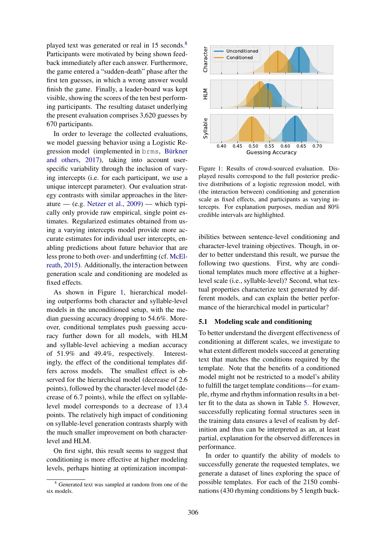played text was generated or real in 15 seconds.<sup>[8](#page-5-0)</sup> Participants were motivated by being shown feedback immediately after each answer. Furthermore, the game entered a "sudden-death" phase after the first ten guesses, in which a wrong answer would finish the game. Finally, a leader-board was kept visible, showing the scores of the ten best performing participants. The resulting dataset underlying the present evaluation comprises 3,620 guesses by 670 participants.

In order to leverage the collected evaluations, we model guessing behavior using a Logistic Regression model (implemented in brms, Bürkner [and others,](#page-8-23) [2017\)](#page-8-23), taking into account userspecific variability through the inclusion of varying intercepts (i.e. for each participant, we use a unique intercept parameter). Our evaluation strategy contrasts with similar approaches in the liter-ature — (e.g. [Netzer et al.,](#page-9-9)  $2009$ ) — which typically only provide raw empirical, single point estimates. Regularized estimates obtained from using a varying intercepts model provide more accurate estimates for individual user intercepts, enabling predictions about future behavior that are less prone to both over- and underfitting (cf. [McEl](#page-9-10)[reath,](#page-9-10) [2015\)](#page-9-10). Additionally, the interaction between generation scale and conditioning are modeled as fixed effects.

As shown in Figure [1,](#page-5-1) hierarchical modeling outperforms both character and syllable-level models in the unconditioned setup, with the median guessing accuracy dropping to 54.6%. Moreover, conditional templates push guessing accuracy further down for all models, with HLM and syllable-level achieving a median accuracy of 51.9% and 49.4%, respectively. Interestingly, the effect of the conditional templates differs across models. The smallest effect is observed for the hierarchical model (decrease of 2.6 points), followed by the character-level model (decrease of 6.7 points), while the effect on syllablelevel model corresponds to a decrease of 13.4 points. The relatively high impact of conditioning on syllable-level generation contrasts sharply with the much smaller improvement on both characterlevel and HLM.

On first sight, this result seems to suggest that conditioning is more effective at higher modeling levels, perhaps hinting at optimization incompat-

<span id="page-5-1"></span>

Figure 1: Results of crowd-sourced evaluation. Displayed results correspond to the full posterior predictive distributions of a logistic regression model, with (the interaction between) conditioning and generation scale as fixed effects, and participants as varying intercepts. For explanation purposes, median and 80% credible intervals are highlighted.

ibilities between sentence-level conditioning and character-level training objectives. Though, in order to better understand this result, we pursue the following two questions. First, why are conditional templates much more effective at a higherlevel scale (i.e., syllable-level)? Second, what textual properties characterize text generated by different models, and can explain the better performance of the hierarchical model in particular?

# <span id="page-5-2"></span>5.1 Modeling scale and conditioning

To better understand the divergent effectiveness of conditioning at different scales, we investigate to what extent different models succeed at generating text that matches the conditions required by the template. Note that the benefits of a conditioned model might not be restricted to a model's ability to fulfill the target template conditions—for example, rhyme and rhythm information results in a better fit to the data as shown in Table [5.](#page-4-1) However, successfully replicating formal structures seen in the training data ensures a level of realism by definition and thus can be interpreted as an, at least partial, explanation for the observed differences in performance.

In order to quantify the ability of models to successfully generate the requested templates, we generate a dataset of lines exploring the space of possible templates. For each of the 2150 combinations (430 rhyming conditions by 5 length buck-

<span id="page-5-0"></span><sup>8</sup> Generated text was sampled at random from one of the six models.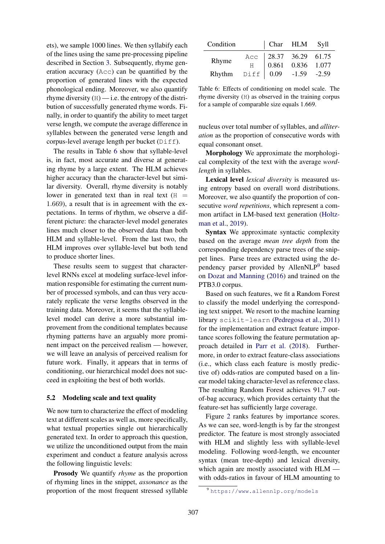ets), we sample 1000 lines. We then syllabify each of the lines using the same pre-processing pipeline described in Section [3.](#page-1-4) Subsequently, rhyme generation accuracy (Acc) can be quantified by the proportion of generated lines with the expected phonological ending. Moreover, we also quantify rhyme diversity  $(H)$  — i.e. the entropy of the distribution of successfully generated rhyme words. Finally, in order to quantify the ability to meet target verse length, we compute the average difference in syllables between the generated verse length and corpus-level average length per bucket (Diff).

The results in Table [6](#page-6-0) show that syllable-level is, in fact, most accurate and diverse at generating rhyme by a large extent. The HLM achieves higher accuracy than the character-level but similar diversity. Overall, rhyme diversity is notably lower in generated text than in real text  $(H =$ 1.669), a result that is in agreement with the expectations. In terms of rhythm, we observe a different picture: the character-level model generates lines much closer to the observed data than both HLM and syllable-level. From the last two, the HLM improves over syllable-level but both tend to produce shorter lines.

These results seem to suggest that characterlevel RNNs excel at modeling surface-level information responsible for estimating the current number of processed symbols, and can thus very accurately replicate the verse lengths observed in the training data. Moreover, it seems that the syllablelevel model can derive a more substantial improvement from the conditional templates because rhyming patterns have an arguably more prominent impact on the perceived realism — however, we will leave an analysis of perceived realism for future work. Finally, it appears that in terms of conditioning, our hierarchical model does not succeed in exploiting the best of both worlds.

### 5.2 Modeling scale and text quality

We now turn to characterize the effect of modeling text at different scales as well as, more specifically, what textual properties single out hierarchically generated text. In order to approach this question, we utilize the unconditioned output from the main experiment and conduct a feature analysis across the following linguistic levels:

Prosody We quantify *rhyme* as the proportion of rhyming lines in the snippet, *assonance* as the proportion of the most frequent stressed syllable

<span id="page-6-0"></span>

| Condition                                                                                                                                                              |  | Char HLM Syll |  |
|------------------------------------------------------------------------------------------------------------------------------------------------------------------------|--|---------------|--|
| Rhyme $\begin{array}{c cc}\n\text{Acc} & 28.37 & 36.29 & 61.75 \\ \text{H} & 0.861 & 0.836 & 1.077 \\ \text{Rhythm} & \text{Diff} & 0.09 & -1.59 & -2.59\n\end{array}$ |  |               |  |
|                                                                                                                                                                        |  |               |  |
|                                                                                                                                                                        |  |               |  |

Table 6: Effects of conditioning on model scale. The rhyme diversity (H) as observed in the training corpus for a sample of comparable size equals 1.669.

nucleus over total number of syllables, and *alliteration* as the proportion of consecutive words with equal consonant onset.

Morphology We approximate the morphological complexity of the text with the average *wordlength* in syllables.

Lexical level *lexical diversity* is measured using entropy based on overall word distributions. Moreover, we also quantify the proportion of consecutive *word repetitions*, which represent a common artifact in LM-based text generation [\(Holtz](#page-8-14)[man et al.,](#page-8-14) [2019\)](#page-8-14).

Syntax We approximate syntactic complexity based on the average *mean tree depth* from the corresponding dependency parse trees of the snippet lines. Parse trees are extracted using the de-pendency parser provided by AllenNLP<sup>[9](#page-6-1)</sup> based on [Dozat and Manning](#page-8-24) [\(2016\)](#page-8-24) and trained on the PTB3.0 corpus.

Based on such features, we fit a Random Forest to classify the model underlying the corresponding text snippet. We resort to the machine learning library scikit-learn [\(Pedregosa et al.,](#page-9-11) [2011\)](#page-9-11) for the implementation and extract feature importance scores following the feature permutation approach detailed in [Parr et al.](#page-9-12) [\(2018\)](#page-9-12). Furthermore, in order to extract feature-class associations (i.e., which class each feature is mostly predictive of) odds-ratios are computed based on a linear model taking character-level as reference class. The resulting Random Forest achieves 91.7 outof-bag accuracy, which provides certainty that the feature-set has sufficiently large coverage.

Figure [2](#page-7-0) ranks features by importance scores. As we can see, word-length is by far the strongest predictor. The feature is most strongly associated with HLM and slightly less with syllable-level modeling. Following word-length, we encounter syntax (mean tree-depth) and lexical diversity, which again are mostly associated with HLM with odds-ratios in favour of HLM amounting to

<span id="page-6-1"></span><sup>9</sup> <https://www.allennlp.org/models>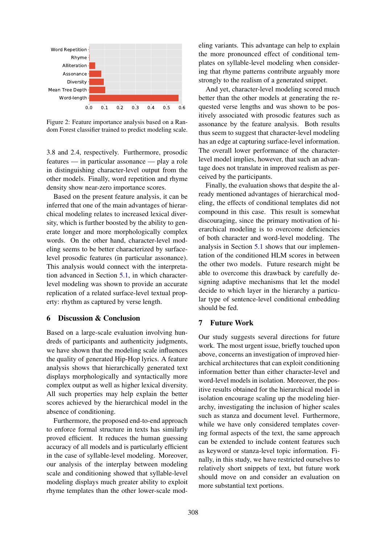<span id="page-7-0"></span>

Figure 2: Feature importance analysis based on a Random Forest classifier trained to predict modeling scale.

3.8 and 2.4, respectively. Furthermore, prosodic features — in particular assonance — play a role in distinguishing character-level output from the other models. Finally, word repetition and rhyme density show near-zero importance scores.

Based on the present feature analysis, it can be inferred that one of the main advantages of hierarchical modeling relates to increased lexical diversity, which is further boosted by the ability to generate longer and more morphologically complex words. On the other hand, character-level modeling seems to be better characterized by surfacelevel prosodic features (in particular assonance). This analysis would connect with the interpretation advanced in Section [5.1,](#page-5-2) in which characterlevel modeling was shown to provide an accurate replication of a related surface-level textual property: rhythm as captured by verse length.

# 6 Discussion & Conclusion

Based on a large-scale evaluation involving hundreds of participants and authenticity judgments, we have shown that the modeling scale influences the quality of generated Hip-Hop lyrics. A feature analysis shows that hierarchically generated text displays morphologically and syntactically more complex output as well as higher lexical diversity. All such properties may help explain the better scores achieved by the hierarchical model in the absence of conditioning.

Furthermore, the proposed end-to-end approach to enforce formal structure in texts has similarly proved efficient. It reduces the human guessing accuracy of all models and is particularly efficient in the case of syllable-level modeling. Moreover, our analysis of the interplay between modeling scale and conditioning showed that syllable-level modeling displays much greater ability to exploit rhyme templates than the other lower-scale modeling variants. This advantage can help to explain the more pronounced effect of conditional templates on syllable-level modeling when considering that rhyme patterns contribute arguably more strongly to the realism of a generated snippet.

And yet, character-level modeling scored much better than the other models at generating the requested verse lengths and was shown to be positively associated with prosodic features such as assonance by the feature analysis. Both results thus seem to suggest that character-level modeling has an edge at capturing surface-level information. The overall lower performance of the characterlevel model implies, however, that such an advantage does not translate in improved realism as perceived by the participants.

Finally, the evaluation shows that despite the already mentioned advantages of hierarchical modeling, the effects of conditional templates did not compound in this case. This result is somewhat discouraging, since the primary motivation of hierarchical modeling is to overcome deficiencies of both character and word-level modeling. The analysis in Section [5.1](#page-5-2) shows that our implementation of the conditioned HLM scores in between the other two models. Future research might be able to overcome this drawback by carefully designing adaptive mechanisms that let the model decide to which layer in the hierarchy a particular type of sentence-level conditional embedding should be fed.

# 7 Future Work

Our study suggests several directions for future work. The most urgent issue, briefly touched upon above, concerns an investigation of improved hierarchical architectures that can exploit conditioning information better than either character-level and word-level models in isolation. Moreover, the positive results obtained for the hierarchical model in isolation encourage scaling up the modeling hierarchy, investigating the inclusion of higher scales such as stanza and document level. Furthermore, while we have only considered templates covering formal aspects of the text, the same approach can be extended to include content features such as keyword or stanza-level topic information. Finally, in this study, we have restricted ourselves to relatively short snippets of text, but future work should move on and consider an evaluation on more substantial text portions.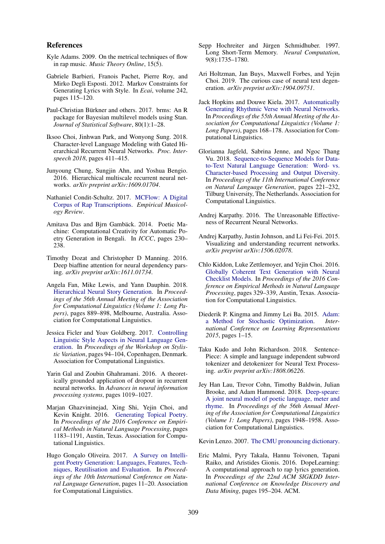#### References

- <span id="page-8-19"></span>Kyle Adams. 2009. On the metrical techniques of flow in rap music. *Music Theory Online*, 15(5).
- <span id="page-8-7"></span>Gabriele Barbieri, Franois Pachet, Pierre Roy, and Mirko Degli Esposti. 2012. Markov Constraints for Generating Lyrics with Style. In *Ecai*, volume 242, pages 115–120.
- <span id="page-8-23"></span>Paul-Christian Bürkner and others. 2017. brms: An R package for Bayesian multilevel models using Stan. *Journal of Statistical Software*, 80(1):1–28.
- <span id="page-8-17"></span>Iksoo Choi, Jinhwan Park, and Wonyong Sung. 2018. Character-level Language Modeling with Gated Hierarchical Recurrent Neural Networks. *Proc. Interspeech 2018*, pages 411–415.
- <span id="page-8-16"></span>Junyoung Chung, Sungjin Ahn, and Yoshua Bengio. 2016. Hierarchical multiscale recurrent neural networks. *arXiv preprint arXiv:1609.01704*.
- <span id="page-8-18"></span>Nathaniel Condit-Schultz. 2017. [MCFlow: A Digital](https://doi.org/10.18061/emr.v11i2.4961) [Corpus of Rap Transcriptions.](https://doi.org/10.18061/emr.v11i2.4961) *Empirical Musicology Review*.
- <span id="page-8-22"></span>Amitava Das and Bjrn Gambäck. 2014. Poetic Machine: Computational Creativity for Automatic Poetry Generation in Bengali. In *ICCC*, pages 230– 238.
- <span id="page-8-24"></span>Timothy Dozat and Christopher D Manning. 2016. Deep biaffine attention for neural dependency parsing. *arXiv preprint arXiv:1611.01734*.
- <span id="page-8-13"></span>Angela Fan, Mike Lewis, and Yann Dauphin. 2018. [Hierarchical Neural Story Generation.](https://www.aclweb.org/anthology/P18-1082) In *Proceedings of the 56th Annual Meeting of the Association for Computational Linguistics (Volume 1: Long Papers)*, pages 889–898, Melbourne, Australia. Association for Computational Linguistics.
- <span id="page-8-2"></span>Jessica Ficler and Yoav Goldberg. 2017. [Controlling](http://www.aclweb.org/anthology/W17-4912) [Linguistic Style Aspects in Neural Language Gen](http://www.aclweb.org/anthology/W17-4912)[eration.](http://www.aclweb.org/anthology/W17-4912) In *Proceedings of the Workshop on Stylistic Variation*, pages 94–104, Copenhagen, Denmark. Association for Computational Linguistics.
- <span id="page-8-21"></span>Yarin Gal and Zoubin Ghahramani. 2016. A theoretically grounded application of dropout in recurrent neural networks. In *Advances in neural information processing systems*, pages 1019–1027.
- <span id="page-8-3"></span>Marjan Ghazvininejad, Xing Shi, Yejin Choi, and Kevin Knight. 2016. [Generating Topical Poetry.](https://aclweb.org/anthology/D16-1126) In *Proceedings of the 2016 Conference on Empirical Methods in Natural Language Processing*, pages 1183–1191, Austin, Texas. Association for Computational Linguistics.
- <span id="page-8-6"></span>Hugo Gonçalo Oliveira. 2017. [A Survey on Intelli](https://doi.org/10.18653/v1/W17-3502)[gent Poetry Generation: Languages, Features, Tech](https://doi.org/10.18653/v1/W17-3502)[niques, Reutilisation and Evaluation.](https://doi.org/10.18653/v1/W17-3502) In *Proceedings of the 10th International Conference on Natural Language Generation*, pages 11–20. Association for Computational Linguistics.
- <span id="page-8-12"></span>Sepp Hochreiter and Jürgen Schmidhuber. 1997. Long Short-Term Memory. *Neural Computation*, 9(8):1735–1780.
- <span id="page-8-14"></span>Ari Holtzman, Jan Buys, Maxwell Forbes, and Yejin Choi. 2019. The curious case of neural text degeneration. *arXiv preprint arXiv:1904.09751*.
- <span id="page-8-8"></span>Jack Hopkins and Douwe Kiela. 2017. [Automatically](https://doi.org/10.18653/v1/P17-1016) [Generating Rhythmic Verse with Neural Networks.](https://doi.org/10.18653/v1/P17-1016) In *Proceedings of the 55th Annual Meeting of the Association for Computational Linguistics (Volume 1: Long Papers)*, pages 168–178. Association for Computational Linguistics.
- <span id="page-8-5"></span>Glorianna Jagfeld, Sabrina Jenne, and Ngoc Thang Vu. 2018. [Sequence-to-Sequence Models for Data](https://www.aclweb.org/anthology/W18-6529)[to-Text Natural Language Generation: Word- vs.](https://www.aclweb.org/anthology/W18-6529) [Character-based Processing and Output Diversity.](https://www.aclweb.org/anthology/W18-6529) In *Proceedings of the 11th International Conference on Natural Language Generation*, pages 221–232, Tilburg University, The Netherlands. Association for Computational Linguistics.
- <span id="page-8-0"></span>Andrej Karpathy. 2016. The Unreasonable Effectiveness of Recurrent Neural Networks.
- <span id="page-8-4"></span>Andrej Karpathy, Justin Johnson, and Li Fei-Fei. 2015. Visualizing and understanding recurrent networks. *arXiv preprint arXiv:1506.02078*.
- <span id="page-8-1"></span>Chlo Kiddon, Luke Zettlemoyer, and Yejin Choi. 2016. [Globally Coherent Text Generation with Neural](https://doi.org/10.18653/v1/D16-1032) [Checklist Models.](https://doi.org/10.18653/v1/D16-1032) In *Proceedings of the 2016 Conference on Empirical Methods in Natural Language Processing*, pages 329–339, Austin, Texas. Association for Computational Linguistics.
- <span id="page-8-20"></span>Diederik P. Kingma and Jimmy Lei Ba. 2015. [Adam:](https://doi.org/http://doi.acm.org.ezproxy.lib.ucf.edu/10.1145/1830483.1830503) [a Method for Stochastic Optimization.](https://doi.org/http://doi.acm.org.ezproxy.lib.ucf.edu/10.1145/1830483.1830503) *International Conference on Learning Representations 2015*, pages 1–15.
- <span id="page-8-15"></span>Taku Kudo and John Richardson. 2018. Sentence-Piece: A simple and language independent subword tokenizer and detokenizer for Neural Text Processing. *arXiv preprint arXiv:1808.06226*.
- <span id="page-8-9"></span>Jey Han Lau, Trevor Cohn, Timothy Baldwin, Julian Brooke, and Adam Hammond. 2018. [Deep-speare:](http://aclweb.org/anthology/P18-1181) [A joint neural model of poetic language, meter and](http://aclweb.org/anthology/P18-1181) [rhyme.](http://aclweb.org/anthology/P18-1181) In *Proceedings of the 56th Annual Meeting of the Association for Computational Linguistics (Volume 1: Long Papers)*, pages 1948–1958. Association for Computational Linguistics.

<span id="page-8-11"></span>Kevin Lenzo. 2007. [The CMU pronouncing dictionary.](http://www.speech.cs.cmu.edu/cgi-bin/cmudict)

<span id="page-8-10"></span>Eric Malmi, Pyry Takala, Hannu Toivonen, Tapani Raiko, and Aristides Gionis. 2016. DopeLearning: A computational approach to rap lyrics generation. In *Proceedings of the 22nd ACM SIGKDD International Conference on Knowledge Discovery and Data Mining*, pages 195–204. ACM.